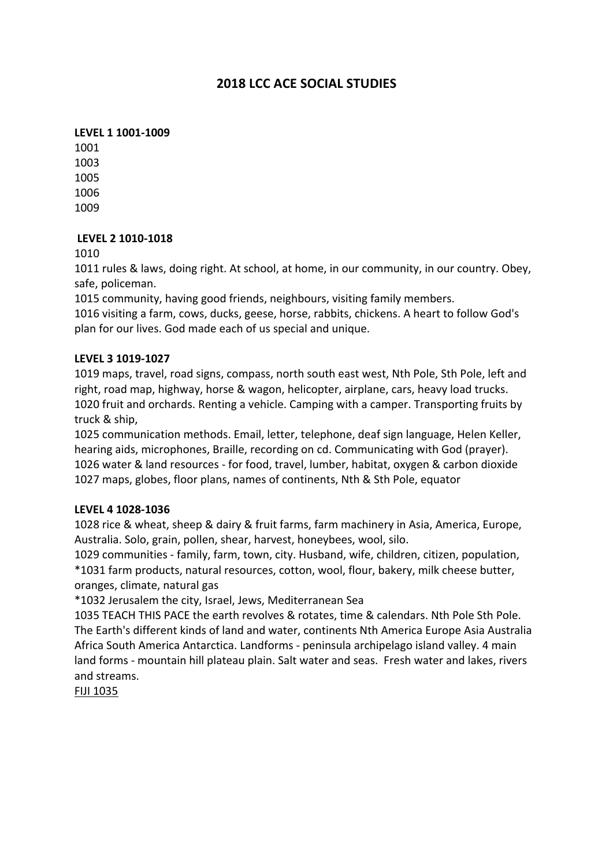# **2018 LCC ACE SOCIAL STUDIES**

# **LEVEL 1 1001-1009**

## **LEVEL 2 1010-1018**

1010

1011 rules & laws, doing right. At school, at home, in our community, in our country. Obey, safe, policeman.

1015 community, having good friends, neighbours, visiting family members.

1016 visiting a farm, cows, ducks, geese, horse, rabbits, chickens. A heart to follow God's plan for our lives. God made each of us special and unique.

## **LEVEL 3 1019-1027**

1019 maps, travel, road signs, compass, north south east west, Nth Pole, Sth Pole, left and right, road map, highway, horse & wagon, helicopter, airplane, cars, heavy load trucks. 1020 fruit and orchards. Renting a vehicle. Camping with a camper. Transporting fruits by truck & ship,

1025 communication methods. Email, letter, telephone, deaf sign language, Helen Keller, hearing aids, microphones, Braille, recording on cd. Communicating with God (prayer). 1026 water & land resources - for food, travel, lumber, habitat, oxygen & carbon dioxide 1027 maps, globes, floor plans, names of continents, Nth & Sth Pole, equator

#### **LEVEL 4 1028-1036**

1028 rice & wheat, sheep & dairy & fruit farms, farm machinery in Asia, America, Europe, Australia. Solo, grain, pollen, shear, harvest, honeybees, wool, silo.

1029 communities - family, farm, town, city. Husband, wife, children, citizen, population, \*1031 farm products, natural resources, cotton, wool, flour, bakery, milk cheese butter, oranges, climate, natural gas

\*1032 Jerusalem the city, Israel, Jews, Mediterranean Sea

1035 TEACH THIS PACE the earth revolves & rotates, time & calendars. Nth Pole Sth Pole. The Earth's different kinds of land and water, continents Nth America Europe Asia Australia Africa South America Antarctica. Landforms - peninsula archipelago island valley. 4 main land forms - mountain hill plateau plain. Salt water and seas. Fresh water and lakes, rivers and streams.

**FIJI 1035**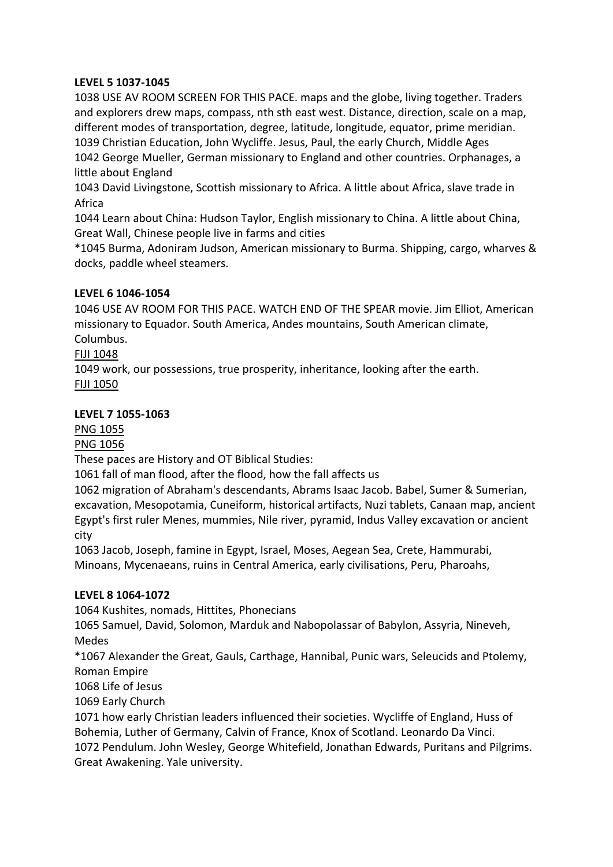# **LEVEL 5 1037-1045**

1038 USE AV ROOM SCREEN FOR THIS PACE. maps and the globe, living together. Traders and explorers drew maps, compass, nth sth east west. Distance, direction, scale on a map, different modes of transportation, degree, latitude, longitude, equator, prime meridian. 1039 Christian Education, John Wycliffe. Jesus, Paul, the early Church, Middle Ages 1042 George Mueller, German missionary to England and other countries. Orphanages, a little about England

1043 David Livingstone, Scottish missionary to Africa. A little about Africa, slave trade in Africa

1044 Learn about China: Hudson Taylor, English missionary to China. A little about China, Great Wall, Chinese people live in farms and cities

\*1045 Burma, Adoniram Judson, American missionary to Burma. Shipping, cargo, wharves & docks, paddle wheel steamers.

## **LEVEL 6 1046-1054**

1046 USE AV ROOM FOR THIS PACE. WATCH END OF THE SPEAR movie. Jim Elliot, American missionary to Equador. South America, Andes mountains, South American climate, Columbus.

## **FIJI 1048**

1049 work, our possessions, true prosperity, inheritance, looking after the earth. FIJI 1050

## **LEVEL 7 1055-1063**

PNG 1055

**PNG 1056** 

These paces are History and OT Biblical Studies:

1061 fall of man flood, after the flood, how the fall affects us

1062 migration of Abraham's descendants, Abrams Isaac Jacob. Babel, Sumer & Sumerian, excavation, Mesopotamia, Cuneiform, historical artifacts, Nuzi tablets, Canaan map, ancient Egypt's first ruler Menes, mummies, Nile river, pyramid, Indus Valley excavation or ancient city

1063 Jacob, Joseph, famine in Egypt, Israel, Moses, Aegean Sea, Crete, Hammurabi, Minoans, Mycenaeans, ruins in Central America, early civilisations, Peru, Pharoahs,

#### **LEVEL 8 1064-1072**

1064 Kushites, nomads, Hittites, Phonecians

1065 Samuel, David, Solomon, Marduk and Nabopolassar of Babylon, Assyria, Nineveh, Medes

\*1067 Alexander the Great, Gauls, Carthage, Hannibal, Punic wars, Seleucids and Ptolemy, Roman Empire

1068 Life of Jesus

1069 Early Church

1071 how early Christian leaders influenced their societies. Wycliffe of England, Huss of Bohemia, Luther of Germany, Calvin of France, Knox of Scotland. Leonardo Da Vinci. 1072 Pendulum. John Wesley, George Whitefield, Jonathan Edwards, Puritans and Pilgrims. Great Awakening. Yale university.